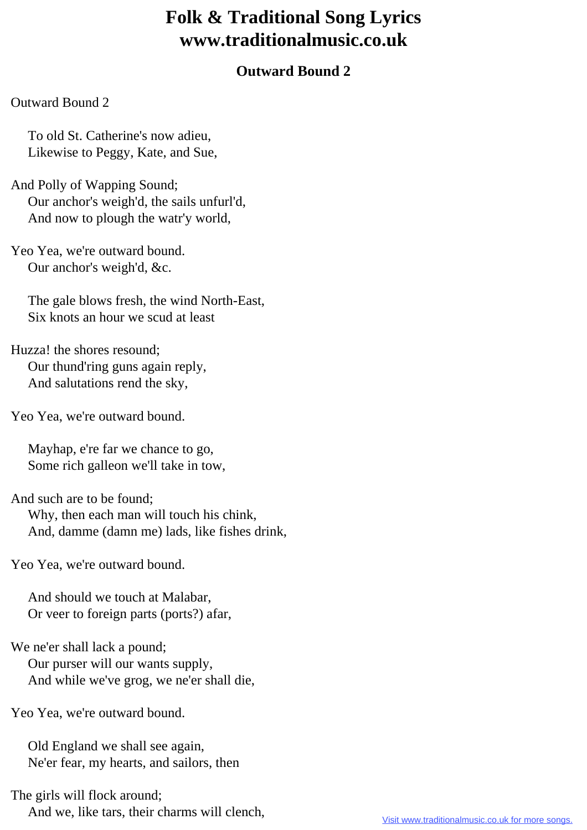## **Folk & Traditional Song Lyrics www.traditionalmusic.co.uk**

## **Outward Bound 2**

## Outward Bound 2

 To old St. Catherine's now adieu, Likewise to Peggy, Kate, and Sue,

And Polly of Wapping Sound; Our anchor's weigh'd, the sails unfurl'd, And now to plough the watr'y world,

Yeo Yea, we're outward bound. Our anchor's weigh'd, &c.

 The gale blows fresh, the wind North-East, Six knots an hour we scud at least

Huzza! the shores resound; Our thund'ring guns again reply, And salutations rend the sky,

Yeo Yea, we're outward bound.

 Mayhap, e're far we chance to go, Some rich galleon we'll take in tow,

And such are to be found; Why, then each man will touch his chink, And, damme (damn me) lads, like fishes drink,

Yeo Yea, we're outward bound.

 And should we touch at Malabar, Or veer to foreign parts (ports?) afar,

We ne'er shall lack a pound; Our purser will our wants supply, And while we've grog, we ne'er shall die,

Yeo Yea, we're outward bound.

 Old England we shall see again, Ne'er fear, my hearts, and sailors, then

The girls will flock around; And we, like tars, their charms will clench,